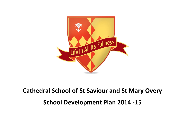

# **Cathedral School of St Saviour and St Mary Overy School Development Plan 2014 -15**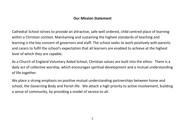# **Our Mission Statement**

Cathedral School strives to provide an attractive, safe well ordered, child centred place of learning within a Christian context. Maintaining and sustaining the highest standards of teaching and learning is the key concern of governors and staff. The school seeks to work positively with parents and carers to fulfil the school's expectation that all learners are enabled to achieve at the highest level of which they are capable.

As a Church of England Voluntary Aided School, Christian values are built into the ethos. There is a daily act of collective worship, which encourages spiritual development and a mutual understanding of life together.

We place a strong emphasis on positive mutual understanding partnerships between home and school, the Governing Body and Parish life. We attach a high priority to active involvement, building a sense of community, by providing a model of service to all.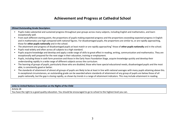# **Achievement and Progress at Cathedral School**

#### **Ofsted Outstanding Grade Descriptors**

- Pupils make substantial and sustained progress throughout year groups across many subjects, including English and mathematics, and learn exceptionally well.
- From each different starting point, the proportions of pupils making expected progress and the proportions exceeding expected progress in English and in mathematics are high compared with national figures. For disadvantaged pupils, the proportions are similar to, or are rapidly approaching, those for **other pupils nationally** and in the school.
- " The attainment and progress of disadvantaged pupils at least match or are rapidly approaching<sup>1</sup> those of **other pupils nationally** and in the school.
- **Pupils read widely and often across all subjects to a high standard.**
- Pupils acquire knowledge and develop and apply a wide range of skills to great effect in reading, writing, communication and mathematics. They are exceptionally well prepared for the next stage in their education, training or employment.
- Pupils, including those in sixth form provision and those in the Early Years Foundation Stage, acquire knowledge quickly and develop their understanding rapidly in a wide range of different subjects across the curriculum.
- The learning of groups of pupils, particularly those who are disabled, those who have special educational needs, disadvantaged pupils and the most able, is consistently good or better.
- The standards of attainment of almost all groups of pupils are likely to be at least in line with national averages with many pupils attaining above this. In exceptional circumstances, an outstanding grade can be awarded where standards of attainment of any group of pupils are below those of all pupils nationally, but the gap is closing rapidly, as shown by trends in a range of attainment indicators. This may include attainment in reading.

## **Links to United Nations Convention on the Rights of the Child**

Article 28

 $\overline{a}$ 

You have the right to a good quality education. You should be encouraged to go to school to the highest level you can.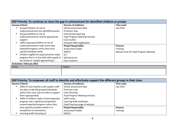| SDP Priority: To continue to close the gap in achievement for identified children or groups                                                                                                                                                |                                                                                                                                                         |                                                                               |
|--------------------------------------------------------------------------------------------------------------------------------------------------------------------------------------------------------------------------------------------|---------------------------------------------------------------------------------------------------------------------------------------------------------|-------------------------------------------------------------------------------|
| <b>Success Criteria</b>                                                                                                                                                                                                                    | <b>Sources of evidence:</b>                                                                                                                             | Time scale:                                                                   |
| Groups/children at risk of<br>underachievement are identified quickly<br>Groups/children at risk of<br>underachievement receive appropriate<br>support<br>100% of groups/children at risk of                                               | School assessment data<br>Provision map<br>Intervention planning<br><b>Pupil Progress Meeting minutes</b><br>Case studies<br>Inclusion Mark application | <b>July 2015</b>                                                              |
| underachievement make more than<br>expected progress unless they have<br>specific/complex needs<br>Children eligible for pupil premium make<br>п.<br>progress that is in line with other pupils in<br>the school or rapidly approaching it | <b>People Responsible:</b><br>Assessment leader<br><b>SENCO</b><br><b>SLT</b><br><b>SEN Governor</b><br>Class teachers                                  | <b>Finance:</b><br><b>Training</b><br>Release time for Pupil Progress Meeting |
| <b>Evaluation: February 2015</b>                                                                                                                                                                                                           |                                                                                                                                                         |                                                                               |

| EVAIWALIOIII I CWI MAI Y EUILU |        |  |
|--------------------------------|--------|--|
| Action                         | Impact |  |
|                                |        |  |
|                                |        |  |

| SDP Priority: To empower all staff to identify and effectively support the different groups in their class |                                       |                  |
|------------------------------------------------------------------------------------------------------------|---------------------------------------|------------------|
| <b>Success Criteria:</b>                                                                                   | <b>Sources of evidence:</b>           | Time scale:      |
| 100% of class teachers and support staff<br>$\blacksquare$                                                 | School assessment data                | <b>July 2015</b> |
| are able to identify groups/individuals                                                                    | Provision map                         |                  |
| within their class and are able to support                                                                 | <b>Class Planning</b>                 |                  |
| them appropriately                                                                                         | <b>Pupil Progress Meeting minutes</b> |                  |
| 100% of children make at least expected<br>$\blacksquare$                                                  | Staff survey                          |                  |
| progress and a significant proportion                                                                      | Learning walk evaluation              |                  |
| exceed expected progress unless they                                                                       | Pupil Premium page of website         |                  |
| have specific/complex needs or in                                                                          | <b>People Responsible:</b>            | Finance:         |
| exceptional circumstances                                                                                  | Assessment leader                     | <b>Training</b>  |
| Learning walks focusing on<br>$\blacksquare$                                                               | <b>SENCO</b>                          |                  |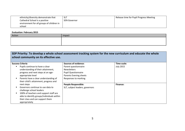| ethnicity/diversity demonstrate that      | -SLT                | Release time for Pupil Progress Meeting |
|-------------------------------------------|---------------------|-----------------------------------------|
| Cathedral School is a positive            | <b>SEN Governor</b> |                                         |
| environment for all groups of children in |                     |                                         |
| school                                    |                     |                                         |

| Action | Impact |
|--------|--------|
|        |        |
|        |        |
|        |        |

## **SDP Priority: To develop a whole school assessment tracking system for the new curriculum and educate the whole school community on its effective use.**

| <b>Success Criteria</b>                    | Sources of evidence:            | Time scale:      |
|--------------------------------------------|---------------------------------|------------------|
| Pupils continue to have a clear            | Parent questionnaire            | <b>July 2015</b> |
| understanding of their attainment,         | <b>Newsletters</b>              |                  |
| progress and next steps at an age-         | <b>Pupil Questionnaire</b>      |                  |
| appropriate level                          | Parents Evening sheets          |                  |
| Parents have a clear understanding of      | Responses to marking            |                  |
| their child's attainment, progress and     |                                 |                  |
| next steps                                 | <b>People Responsible:</b>      | Finance:         |
| Governors continue to use data to          | SLT, subject leaders, governors |                  |
| challenge school leaders                   |                                 |                  |
| 100% of teachers and support staff are     |                                 |                  |
| able to identify groups/individuals within |                                 |                  |
| their class and can support them           |                                 |                  |
| appropriately                              |                                 |                  |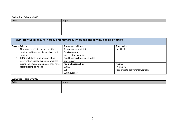| Action | Impact |
|--------|--------|
|        |        |
|        |        |
|        |        |
|        |        |

| SDP Priority: To ensure literacy and numeracy interventions continue to be effective |                                       |                                    |
|--------------------------------------------------------------------------------------|---------------------------------------|------------------------------------|
| <b>Success Criteria</b>                                                              | <b>Sources of evidence:</b>           | Time scale:                        |
| All support staff attend intervention                                                | School assessment data                | <b>July 2015</b>                   |
| training and implement aspects of their                                              | Provision map                         |                                    |
| training                                                                             | Intervention planning                 |                                    |
| 100% of children who are part of an                                                  | <b>Pupil Progress Meeting minutes</b> |                                    |
| intervention exceed expected progress                                                | <b>Staff Survey</b>                   |                                    |
| during the intervention unless they have                                             | <b>People Responsible:</b>            | Finance:                           |
| specific/complex needs.                                                              | <b>SENCO</b>                          | TA training                        |
|                                                                                      | <b>SLT</b>                            | Resources to deliver interventions |
|                                                                                      | <b>SEN Governor</b>                   |                                    |

| Action | Impact |
|--------|--------|
|        |        |
|        |        |
|        |        |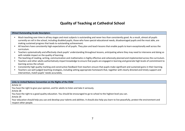# **Quality of Teaching at Cathedral School**

#### **Ofsted Outstanding Grade Descriptors**

- Much teaching over time in all key stages and most subjects is outstanding and never less than consistently good. As a result, almost all pupils currently on roll in the school, including disabled pupils, those who have special educational needs, disadvantaged pupils and the most able, are making sustained progress that leads to outstanding achievement.
- All teachers have consistently high expectations of all pupils. They plan and teach lessons that enable pupils to learn exceptionally well across the curriculum.
- **Teachers systematically and effectively check pupils' understanding throughout lessons, anticipating where they may need to intervene and doing so** with notable impact on the quality of learning.
- The teaching of reading, writing, communication and mathematics is highly effective and cohesively planned and implemented across the curriculum.
- Teachers and other adults authoritatively impart knowledge to ensure that pupils are engaged in learning and generate high levels of commitment to learning across the school.
- Consistently high quality marking and constructive feedback from teachers ensure that pupils make significant and sustained gains in their learning.
- Teachers use well-judged teaching strategies, including setting appropriate homework that, together with clearly directed and timely support and intervention, match pupils' needs accurately.

## **Links to United Nations Convention on the Rights of the Child**

Article 12

You have the right to give your opinion, and for adults to listen and take it seriously.

Article 28

You have the right to a good quality education. You should be encouraged to go to school to the highest level you can.

Article 29

Your education should help you use and develop your talents and abilities. It should also help you learn to live peacefully, protect the environment and respect other people.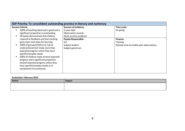| SDP Priority: To consolidate outstanding practice in literacy and numeracy                                                                                                                                                                                                                                                          |                                                                    |                                          |  |
|-------------------------------------------------------------------------------------------------------------------------------------------------------------------------------------------------------------------------------------------------------------------------------------------------------------------------------------|--------------------------------------------------------------------|------------------------------------------|--|
| <b>Success Criteria</b><br>100% of teaching observed is good and a                                                                                                                                                                                                                                                                  | <b>Sources of evidence:</b>                                        | Time scale:<br>On going                  |  |
| significant proportion is outstanding<br>All books demonstrate that children                                                                                                                                                                                                                                                        | In year data<br>Observation records                                |                                          |  |
| respond to feedback and that marking<br>gives clear next steps for learning                                                                                                                                                                                                                                                         | Work scrutiny evidence<br><b>People Responsible:</b><br><b>SLT</b> | <b>Finance:</b><br><b>Training</b>       |  |
| 100% of groups/children at risk of<br>underachievement make more than<br>expected progress unless they have<br>specific/complex needs<br>100% of children make at least expected<br>progress and a significant proportion<br>exceed expected progress unless they<br>have specific/complex needs or in<br>exceptional circumstances | Subject leaders<br>Subject governors                               | Release time to enable peer observations |  |

| Action | Impact |
|--------|--------|
|        |        |
|        |        |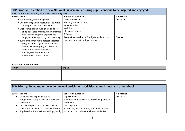| SDP Priority: To embed the new National Curriculum, ensuring pupils continue to be inspired and engaged.<br>Focus: Science, Humanities, PE, Art, DT, Computing, MFL                                                                                                                                      |                                                                                                                                 |                                 |  |
|----------------------------------------------------------------------------------------------------------------------------------------------------------------------------------------------------------------------------------------------------------------------------------------------------------|---------------------------------------------------------------------------------------------------------------------------------|---------------------------------|--|
| <b>Success Criteria</b><br>• See Teaching & Learning target<br>• Children are given opportunities to write<br>at length across the curriculum<br>. Work samples and pupil questionnaires<br>and pupil voice interviews demonstrate                                                                       | <b>Sources of evidence:</b><br>Curriculum Map<br>Planning and evaluation<br><b>Work Samples</b><br>Website<br>LA review reports | Time scale:<br><b>July 2015</b> |  |
| that the vast majority of pupils are<br>engaged and inspired by their learning<br>• 100% of children make at least expected<br>progress and a significant proportion<br>exceed expected progress across the<br>curriculum, unless they have<br>specific/complex needs or in<br>exceptional circumstances | SIP reports<br>People Responsible: SLT, subject leaders, class<br>teachers, support staff, governors                            | <b>Finance:</b>                 |  |

| Impact |
|--------|
|        |
|        |
|        |
|        |

| SDP Priority: To maintain the wide range of enrichment activities at lunchtimes and after school |                                                                       |                                               |                  |
|--------------------------------------------------------------------------------------------------|-----------------------------------------------------------------------|-----------------------------------------------|------------------|
|                                                                                                  | <b>Success Criteria</b><br><b>Sources of evidence:</b><br>Time scale: |                                               |                  |
|                                                                                                  | Clubs provide opportunities for                                       | Pupil surveys                                 | <b>July 2015</b> |
|                                                                                                  | independent study as well as curriculum                               | Feedback from teachers re improved quality of |                  |
|                                                                                                  | enrichment                                                            | homework                                      |                  |
|                                                                                                  | All children participate in extracurricular                           | Club registers                                |                  |
|                                                                                                  | enrichment activities for at least 2 terms                            | School blog demonstrating outcomes of after   |                  |
|                                                                                                  | Pupil feedback and evidence (blogs, work,                             | school and lunchtime enrichment activities    |                  |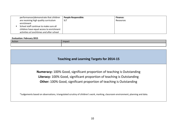| performances) demonstrate that children                                            | <b>People Responsible:</b> | <b>Finance:</b> |
|------------------------------------------------------------------------------------|----------------------------|-----------------|
| are receiving high quality curriculum<br>enrichment                                | <b>SLT</b>                 | Resources       |
| School staff continue to make sure all<br>children have equal access to enrichment |                            |                 |
| activities at lunchtimes and after school                                          |                            |                 |

| Action | Impact |
|--------|--------|
|        |        |

## **Teaching and Learning Targets for 2014-15**

**Numeracy:** 100% Good, significant proportion of teaching is Outstanding **Literacy:** 100% Good, significant proportion of teaching is Outstanding **Other:** 100% Good, significant proportion of teaching is Outstanding

\*Judgements based on observations, triangulated scrutiny of children's work, marking, classroom environment, planning and data.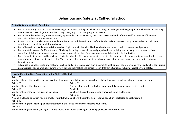# **Behaviour and Safety at Cathedral School**

## **Ofsted Outstanding Grade Descriptors**

- Pupils consistently display a thirst for knowledge and understanding and a love of learning, including when being taught as a whole class or working on their own or in small groups. This has a very strong impact on their progress in lessons.
- Pupils' attitudes to learning are of an equally high standard across subjects, years and classes and with different staff. Incidences of low-level disruption in lessons are extremely rare.
- **Parents, staff and pupils are unreservedly positive about both behaviour and safety. Pupils are keenly aware how good attitudes and behaviour <b>Parament Constant** contribute to school life, adult life and work.
- **Pupils' behaviour outside lessons is impeccable. Pupils' pride in the school is shown by their excellent conduct, manners and punctuality.**
- Pupils are fully aware of different forms of bullying, including cyber-bullying and prejudice-based bullying, and actively try to prevent it from occurring. Bullying and derogatory or aggressive language in all their forms are very rare and dealt with highly effectively.
- Pupils' excellent conduct and behaviour reflects the school's effective strategies to promote high standards; this makes a strong contribution to an exceptionally positive climate for learning. There are excellent improvements in behaviour over time for individuals or groups with particular behaviour needs.
- All groups of pupils are safe and feel safe in school and at alternative provision placements at all times. They understand very clearly what constitutes unsafe situations and are highly aware of how to keep themselves and others safe in different situations, including in relation to e-safety.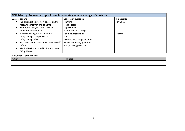| SDP Priority: To ensure pupils know how to stay safe in a range of contexts |                               |                  |
|-----------------------------------------------------------------------------|-------------------------------|------------------|
| <b>Success Criteria</b>                                                     | <b>Sources of evidence:</b>   | Time scale:      |
| Pupils can articulate how to safe on the                                    | Planning                      | <b>July 2015</b> |
| roads, the internet and at home                                             | Flecki Folder                 |                  |
| Number of "Staying Safe" Fleckies                                           | Pupil survey                  |                  |
| remains low (under 20)                                                      | <b>School and Class Blogs</b> |                  |
| Successful safeguarding audit by                                            | <b>People Responsible:</b>    | <b>Finance:</b>  |
| safeguarding champion or LA                                                 | <b>SLT</b>                    |                  |
| safeguarding officer                                                        | PSHE/Science subject leader   |                  |
| Risk assessments continue to ensure staff                                   | Health and Safety governor    |                  |
| safety                                                                      | Safeguarding governor         |                  |
| Medical Policy updated in line with new                                     |                               |                  |
| DfE guidance                                                                |                               |                  |

| Action | Impact |
|--------|--------|
|        |        |
|        |        |
|        |        |
|        |        |
|        |        |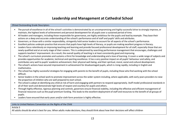# **Leadership and Management at Cathedral School**

## Ofsted Outstanding Grade Descriptors

- The pursuit of excellence in all of the school's activities is demonstrated by an uncompromising and highly successful drive to strongly improve, or maintain, the highest levels of achievement and personal development for all pupils over a sustained period of time.
- All leaders and managers, including those responsible for governance, are highly ambitious for the pupils and lead by example. They base their actions on a deep and accurate understanding of the school's performance and of staff and pupils' skills and attributes.
- Governors, or those with a similar responsibility, stringently hold senior leaders to account for all aspects of the school's performance.
- Excellent policies underpin practice that ensures that pupils have high levels of literacy, or pupils are making excellent progress in literacy.
- Leaders focus relentlessly on improving teaching and learning and provide focused professional development for all staff, especially those that are newly qualified and at an early stage of their careers. This is underpinned by searching performance management that encourages, challenges and supports teachers' improvement. As a result, the overall quality of teaching is at least consistently good and improving.
- The school's curriculum promotes and sustains a thirst for knowledge and understanding and a love of learning. It covers a wide range of subjects and provides opportunities for academic, technical and sporting excellence. It has a very positive impact on all pupils' behaviour and safety, and contributes very well to pupils' academic achievement, their physical well-being, and their spiritual, moral, social and cultural development.
- The school's actions have secured improvement in achievement for disadvantaged pupils, which is rising rapidly, including in English and mathematics.
- The school has highly successful strategies for engaging with parents to the benefit of pupils, including those who find working with the school difficult.
- Senior leaders in the school work to promote improvement across the wider system including, where applicable, with early years providers to raise the proportion of children who are well prepared to start school.
- The school is adept at identifying any child at risk of harm and engaging with partners to respond appropriately. Staff model professional standards in all of their work and demonstrate high levels of respect and courtesy for pupils and others.
- Through highly effective, rigorous planning and controls, governors ensure financial stability, including the effective and efficient management of financial resources such as the pupil premium funding. This leads to the excellent deployment of staff and resources to the benefit of all groups of pupils.
- Leaders have ensured that early years and/or sixth form provision is highly effective.

Links to United Nations Convention on the Rights of the Child

Article 3

All adults should do what is best for you. When adults make decisions, they should think about how their decisions will affect children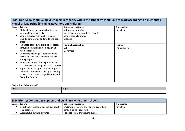| SDP Priority: To continue build leadership capacity within the school by continuing to work according to a distributed                                                                                                                                                                                                                                                                                                                                                                                                         |                                                                                                                                |                                   |
|--------------------------------------------------------------------------------------------------------------------------------------------------------------------------------------------------------------------------------------------------------------------------------------------------------------------------------------------------------------------------------------------------------------------------------------------------------------------------------------------------------------------------------|--------------------------------------------------------------------------------------------------------------------------------|-----------------------------------|
| model of leadership (including governors and children)                                                                                                                                                                                                                                                                                                                                                                                                                                                                         |                                                                                                                                |                                   |
| <b>Success Criteria</b><br>Middle leaders have opportunities to<br>$\blacksquare$<br>develop leadership skills<br>School provides high quality training<br>$\blacksquare$<br>including mentoring and modelling good<br>practice                                                                                                                                                                                                                                                                                                | <b>Sources of evidence:</b><br>SLT meeting minutes<br>Governors minutes and visit reports<br>School council minutes<br>Website | Time scale:<br><b>July 2015</b>   |
| Increased capacity to drive up standards<br>٠<br>through delegation and empowering<br>middle leaders<br>Governors challenge school leaders to<br>$\blacksquare$<br>ensure all children are making at least<br>good progress<br>Governors support SLT to put in place<br>$\blacksquare$<br>successful succession plans for SLT and GB<br>Pupils: Increased opportunities for pupils<br>$\blacksquare$<br>to develop leadership skills by increasing<br>role of school council, digital leaders and<br><b>Cathedral Captains</b> | <b>People Responsible:</b><br><b>SLT</b><br>Governors                                                                          | <b>Finance:</b><br>Training costs |

| Action | Impact |
|--------|--------|
|        |        |

| SDP Priority: Continue to support and build links with other schools. |                                        |                                           |                  |
|-----------------------------------------------------------------------|----------------------------------------|-------------------------------------------|------------------|
|                                                                       | <b>Success Criteria</b>                | <b>Sources of evidence:</b>               | Time scale:      |
|                                                                       | 2 Southwark Excellent Teachers support | LA/External reviews and reports regarding | <b>July 2015</b> |
|                                                                       | local teachers                         | schools being supported                   |                  |
|                                                                       | Successful showcasing events           | Feedback from showcasing events           |                  |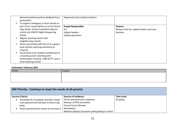| demonstrated by positive feedback from<br>participants<br>To support colleagues in local schools as                                                  | Paperwork from student teachers |                                            |
|------------------------------------------------------------------------------------------------------------------------------------------------------|---------------------------------|--------------------------------------------|
| part of our responsibility as an Eco Green                                                                                                           | <b>People Responsible:</b>      | <b>Finance:</b>                            |
| Flag school, Voices Foundation Beacon                                                                                                                | <b>SLT</b>                      | Release time for subject leaders and class |
| school and UNICEF Rights Respecting                                                                                                                  | Subject leaders                 | teachers                                   |
| School                                                                                                                                               | Subject governors               |                                            |
| Regular sporting events with<br>neighbouring schools<br>Work successfully with the LA to support<br>local schools requiring assistance to<br>improve |                                 |                                            |
| Successfully train students embarking on<br>a teaching career (working with<br>Roehampton Institute, LDBS SCITT, and a<br>local teaching school)     |                                 |                                            |

| Action | Impact |
|--------|--------|
|        |        |
|        |        |
|        |        |

| SDP Priority: Continue to meet the needs of all parents  |                                                    |             |
|----------------------------------------------------------|----------------------------------------------------|-------------|
| <b>Success Criteria</b>                                  | <b>Sources of evidence:</b>                        | Time scale: |
| Possibility of a breakfast and after school<br>$\bullet$ | Parent questionnaire responses                     | On going    |
| club explored and fed back to Governing                  | Minutes of PPR committee                           |             |
| Body                                                     | <b>Parent Forum Minutes</b>                        |             |
| Parent questionnaire shows an increase in                | Newsletters                                        |             |
|                                                          | Website (photos of parents participating in school |             |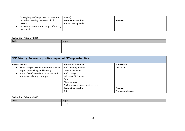| "strongly agree" responses to statements  | events)                    |          |
|-------------------------------------------|----------------------------|----------|
| related to meeting the needs of all       | <b>People Responsible:</b> | Finance: |
| parents                                   | SLT, Governing Body        |          |
| Increase in parental workshops offered by |                            |          |
| the school                                |                            |          |

| Action | Impact |
|--------|--------|
|        |        |
|        |        |
|        |        |

| SDP Priority: To ensure positive impact of CPD opportunities                                                                                                  |                                                                                                                                                |                    |
|---------------------------------------------------------------------------------------------------------------------------------------------------------------|------------------------------------------------------------------------------------------------------------------------------------------------|--------------------|
| <b>Success Criteria</b>                                                                                                                                       | <b>Sources of evidence:</b>                                                                                                                    | Time scale:        |
| Monitoring of CDP demonstrates positive<br>п<br>impact on teaching and learning<br>100% of staff attend CPD activities and<br>are able to identify the impact | Staff meeting minutes<br>CDP impact forms<br>Staff surveys<br>Individual CPD folders<br>Data<br>Observations<br>Performance management records | <b>July 2015</b>   |
|                                                                                                                                                               | <b>People Responsible:</b>                                                                                                                     | <b>Finance:</b>    |
|                                                                                                                                                               | <b>SLT</b>                                                                                                                                     | Training and cover |

| Action | Impact |
|--------|--------|
|        |        |